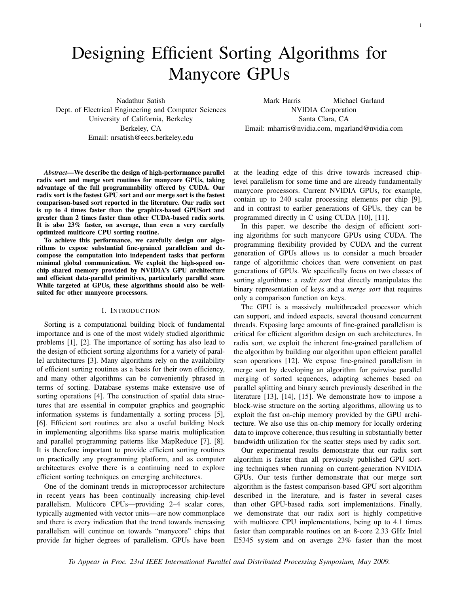# Designing Efficient Sorting Algorithms for Manycore GPUs

Nadathur Satish Dept. of Electrical Engineering and Computer Sciences University of California, Berkeley Berkeley, CA Email: nrsatish@eecs.berkeley.edu

Mark Harris Michael Garland NVIDIA Corporation Santa Clara, CA Email: mharris@nvidia.com, mgarland@nvidia.com

*Abstract*—We describe the design of high-performance parallel radix sort and merge sort routines for manycore GPUs, taking advantage of the full programmability offered by CUDA. Our radix sort is the fastest GPU sort and our merge sort is the fastest comparison-based sort reported in the literature. Our radix sort is up to 4 times faster than the graphics-based GPUSort and greater than 2 times faster than other CUDA-based radix sorts. It is also 23% faster, on average, than even a very carefully optimized multicore CPU sorting routine.

To achieve this performance, we carefully design our algorithms to expose substantial fine-grained parallelism and decompose the computation into independent tasks that perform minimal global communication. We exploit the high-speed onchip shared memory provided by NVIDIA's GPU architecture and efficient data-parallel primitives, particularly parallel scan. While targeted at GPUs, these algorithms should also be wellsuited for other manycore processors.

## I. INTRODUCTION

Sorting is a computational building block of fundamental importance and is one of the most widely studied algorithmic problems [1], [2]. The importance of sorting has also lead to the design of efficient sorting algorithms for a variety of parallel architectures [3]. Many algorithms rely on the availability of efficient sorting routines as a basis for their own efficiency, and many other algorithms can be conveniently phrased in terms of sorting. Database systems make extensive use of sorting operations [4]. The construction of spatial data structures that are essential in computer graphics and geographic information systems is fundamentally a sorting process [5], [6]. Efficient sort routines are also a useful building block in implementing algorithms like sparse matrix multiplication and parallel programming patterns like MapReduce [7], [8]. It is therefore important to provide efficient sorting routines on practically any programming platform, and as computer architectures evolve there is a continuing need to explore efficient sorting techniques on emerging architectures.

One of the dominant trends in microprocessor architecture in recent years has been continually increasing chip-level parallelism. Multicore CPUs—providing 2–4 scalar cores, typically augmented with vector units—are now commonplace and there is every indication that the trend towards increasing parallelism will continue on towards "manycore" chips that provide far higher degrees of parallelism. GPUs have been at the leading edge of this drive towards increased chiplevel parallelism for some time and are already fundamentally manycore processors. Current NVIDIA GPUs, for example, contain up to 240 scalar processing elements per chip [9], and in contrast to earlier generations of GPUs, they can be programmed directly in C using CUDA [10], [11].

In this paper, we describe the design of efficient sorting algorithms for such manycore GPUs using CUDA. The programming flexibility provided by CUDA and the current generation of GPUs allows us to consider a much broader range of algorithmic choices than were convenient on past generations of GPUs. We specifically focus on two classes of sorting algorithms: a *radix sort* that directly manipulates the binary representation of keys and a *merge sort* that requires only a comparison function on keys.

The GPU is a massively multithreaded processor which can support, and indeed expects, several thousand concurrent threads. Exposing large amounts of fine-grained parallelism is critical for efficient algorithm design on such architectures. In radix sort, we exploit the inherent fine-grained parallelism of the algorithm by building our algorithm upon efficient parallel scan operations [12]. We expose fine-grained parallelism in merge sort by developing an algorithm for pairwise parallel merging of sorted sequences, adapting schemes based on parallel splitting and binary search previously described in the literature [13], [14], [15]. We demonstrate how to impose a block-wise structure on the sorting algorithms, allowing us to exploit the fast on-chip memory provided by the GPU architecture. We also use this on-chip memory for locally ordering data to improve coherence, thus resulting in substantially better bandwidth utilization for the scatter steps used by radix sort.

Our experimental results demonstrate that our radix sort algorithm is faster than all previously published GPU sorting techniques when running on current-generation NVIDIA GPUs. Our tests further demonstrate that our merge sort algorithm is the fastest comparison-based GPU sort algorithm described in the literature, and is faster in several cases than other GPU-based radix sort implementations. Finally, we demonstrate that our radix sort is highly competitive with multicore CPU implementations, being up to 4.1 times faster than comparable routines on an 8-core 2.33 GHz Intel E5345 system and on average 23% faster than the most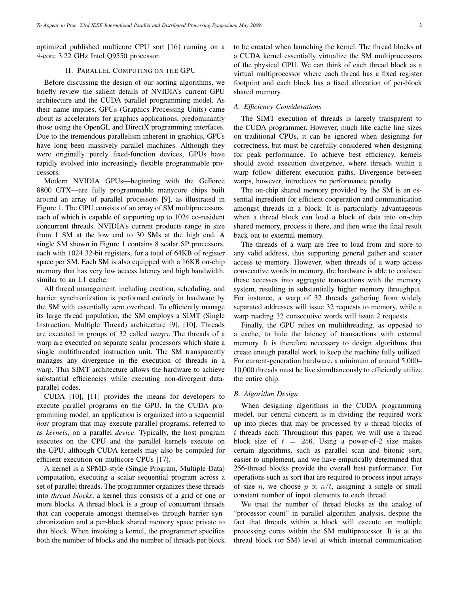optimized published multicore CPU sort [16] running on a 4-core 3.22 GHz Intel Q9550 processor.

## II. PARALLEL COMPUTING ON THE GPU

Before discussing the design of our sorting algorithms, we briefly review the salient details of NVIDIA's current GPU architecture and the CUDA parallel programming model. As their name implies, GPUs (Graphics Processing Units) came about as accelerators for graphics applications, predominantly those using the OpenGL and DirectX programming interfaces. Due to the tremendous parallelism inherent in graphics, GPUs have long been massively parallel machines. Although they were originally purely fixed-function devices, GPUs have rapidly evolved into increasingly flexible programmable processors.

Modern NVIDIA GPUs—beginning with the GeForce 8800 GTX—are fully programmable manycore chips built around an array of parallel processors [9], as illustrated in Figure 1. The GPU consists of an array of SM multiprocessors, each of which is capable of supporting up to 1024 co-resident concurrent threads. NVIDIA's current products range in size from 1 SM at the low end to 30 SMs at the high end. A single SM shown in Figure 1 contains 8 scalar SP processors, each with 1024 32-bit registers, for a total of 64KB of register space per SM. Each SM is also equipped with a 16KB on-chip memory that has very low access latency and high bandwidth, similar to an L1 cache.

All thread management, including creation, scheduling, and barrier synchronization is performed entirely in hardware by the SM with essentially zero overhead. To efficiently manage its large thread population, the SM employs a SIMT (Single Instruction, Multiple Thread) architecture [9], [10]. Threads are executed in groups of 32 called *warps*. The threads of a warp are executed on separate scalar processors which share a single multithreaded instruction unit. The SM transparently manages any divergence in the execution of threads in a warp. This SIMT architecture allows the hardware to achieve substantial efficiencies while executing non-divergent dataparallel codes.

CUDA [10], [11] provides the means for developers to execute parallel programs on the GPU. In the CUDA programming model, an application is organized into a sequential *host* program that may execute parallel programs, referred to as *kernels*, on a parallel *device*. Typically, the host program executes on the CPU and the parallel kernels execute on the GPU, although CUDA kernels may also be compiled for efficient execution on multicore CPUs [17].

A kernel is a SPMD-style (Single Program, Multiple Data) computation, executing a scalar sequential program across a set of parallel threads. The programmer organizes these threads into *thread blocks*; a kernel thus consists of a grid of one or more blocks. A thread block is a group of concurrent threads that can cooperate amongst themselves through barrier synchronization and a per-block shared memory space private to that block. When invoking a kernel, the programmer specifies both the number of blocks and the number of threads per block to be created when launching the kernel. The thread blocks of a CUDA kernel essentially virtualize the SM multiprocessors of the physical GPU. We can think of each thread block as a virtual multiprocessor where each thread has a fixed register footprint and each block has a fixed allocation of per-block shared memory.

# *A. Efficiency Considerations*

The SIMT execution of threads is largely transparent to the CUDA programmer. However, much like cache line sizes on traditional CPUs, it can be ignored when designing for correctness, but must be carefully considered when designing for peak performance. To achieve best efficiency, kernels should avoid execution divergence, where threads within a warp follow different execution paths. Divergence between warps, however, introduces no performance penalty.

The on-chip shared memory provided by the SM is an essential ingredient for efficient cooperation and communication amongst threads in a block. It is particularly advantageous when a thread block can load a block of data into on-chip shared memory, process it there, and then write the final result back out to external memory.

The threads of a warp are free to load from and store to any valid address, thus supporting general gather and scatter access to memory. However, when threads of a warp access consecutive words in memory, the hardware is able to coalesce these accesses into aggregate transactions with the memory system, resulting in substantially higher memory throughput. For instance, a warp of 32 threads gathering from widely separated addresses will issue 32 requests to memory, while a warp reading 32 consecutive words will issue 2 requests.

Finally, the GPU relies on multithreading, as opposed to a cache, to hide the latency of transactions with external memory. It is therefore necessary to design algorithms that create enough parallel work to keep the machine fully utilized. For current-generation hardware, a minimum of around 5,000– 10,000 threads must be live simultaneously to efficiently utilize the entire chip.

## *B. Algorithm Design*

When designing algorithms in the CUDA programming model, our central concern is in dividing the required work up into pieces that may be processed by  $p$  thread blocks of  $t$  threads each. Throughout this paper, we will use a thread block size of  $t = 256$ . Using a power-of-2 size makes certain algorithms, such as parallel scan and bitonic sort, easier to implement, and we have empirically determined that 256-thread blocks provide the overall best performance. For operations such as sort that are required to process input arrays of size *n*, we choose  $p \propto n/t$ , assigning a single or small constant number of input elements to each thread.

We treat the number of thread blocks as the analog of "processor count" in parallel algorithm analysis, despite the fact that threads within a block will execute on multiple processing cores within the SM multiprocessor. It is at the thread block (or SM) level at which internal communication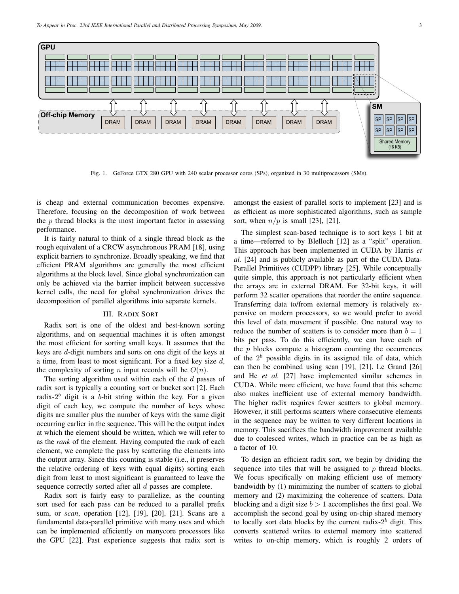

Fig. 1. GeForce GTX 280 GPU with 240 scalar processor cores (SPs), organized in 30 multiprocessors (SMs).

is cheap and external communication becomes expensive. Therefore, focusing on the decomposition of work between the  $p$  thread blocks is the most important factor in assessing performance.

It is fairly natural to think of a single thread block as the rough equivalent of a CRCW asynchronous PRAM [18], using explicit barriers to synchronize. Broadly speaking, we find that efficient PRAM algorithms are generally the most efficient algorithms at the block level. Since global synchronization can only be achieved via the barrier implicit between successive kernel calls, the need for global synchronization drives the decomposition of parallel algorithms into separate kernels.

## III. RADIX SORT

Radix sort is one of the oldest and best-known sorting algorithms, and on sequential machines it is often amongst the most efficient for sorting small keys. It assumes that the keys are d-digit numbers and sorts on one digit of the keys at a time, from least to most significant. For a fixed key size  $d$ , the complexity of sorting *n* input records will be  $O(n)$ .

The sorting algorithm used within each of the  $d$  passes of radix sort is typically a counting sort or bucket sort [2]. Each radix- $2^b$  digit is a b-bit string within the key. For a given digit of each key, we compute the number of keys whose digits are smaller plus the number of keys with the same digit occurring earlier in the sequence. This will be the output index at which the element should be written, which we will refer to as the *rank* of the element. Having computed the rank of each element, we complete the pass by scattering the elements into the output array. Since this counting is stable (i.e., it preserves the relative ordering of keys with equal digits) sorting each digit from least to most significant is guaranteed to leave the sequence correctly sorted after all d passes are complete.

Radix sort is fairly easy to parallelize, as the counting sort used for each pass can be reduced to a parallel prefix sum, or *scan*, operation [12], [19], [20], [21]. Scans are a fundamental data-parallel primitive with many uses and which can be implemented efficiently on manycore processors like the GPU [22]. Past experience suggests that radix sort is

amongst the easiest of parallel sorts to implement [23] and is as efficient as more sophisticated algorithms, such as sample sort, when  $n/p$  is small [23], [21].

The simplest scan-based technique is to sort keys 1 bit at a time—referred to by Blelloch [12] as a "split" operation. This approach has been implemented in CUDA by Harris *et al.* [24] and is publicly available as part of the CUDA Data-Parallel Primitives (CUDPP) library [25]. While conceptually quite simple, this approach is not particularly efficient when the arrays are in external DRAM. For 32-bit keys, it will perform 32 scatter operations that reorder the entire sequence. Transferring data to/from external memory is relatively expensive on modern processors, so we would prefer to avoid this level of data movement if possible. One natural way to reduce the number of scatters is to consider more than  $b = 1$ bits per pass. To do this efficiently, we can have each of the  $p$  blocks compute a histogram counting the occurrences of the  $2<sup>b</sup>$  possible digits in its assigned tile of data, which can then be combined using scan [19], [21]. Le Grand [26] and He *et al.* [27] have implemented similar schemes in CUDA. While more efficient, we have found that this scheme also makes inefficient use of external memory bandwidth. The higher radix requires fewer scatters to global memory. However, it still performs scatters where consecutive elements in the sequence may be written to very different locations in memory. This sacrifices the bandwidth improvement available due to coalesced writes, which in practice can be as high as a factor of 10.

To design an efficient radix sort, we begin by dividing the sequence into tiles that will be assigned to  $p$  thread blocks. We focus specifically on making efficient use of memory bandwidth by (1) minimizing the number of scatters to global memory and (2) maximizing the coherence of scatters. Data blocking and a digit size  $b > 1$  accomplishes the first goal. We accomplish the second goal by using on-chip shared memory to locally sort data blocks by the current radix- $2<sup>b</sup>$  digit. This converts scattered writes to external memory into scattered writes to on-chip memory, which is roughly 2 orders of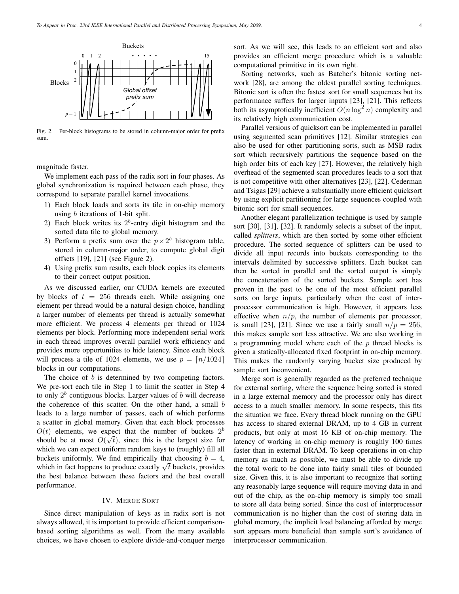

Fig. 2. Per-block histograms to be stored in column-major order for prefix sum.

magnitude faster.

We implement each pass of the radix sort in four phases. As global synchronization is required between each phase, they correspond to separate parallel kernel invocations.

- 1) Each block loads and sorts its tile in on-chip memory using *b* iterations of 1-bit split.
- 2) Each block writes its  $2^b$ -entry digit histogram and the sorted data tile to global memory.
- 3) Perform a prefix sum over the  $p \times 2^b$  histogram table, stored in column-major order, to compute global digit offsets [19], [21] (see Figure 2).
- 4) Using prefix sum results, each block copies its elements to their correct output position.

As we discussed earlier, our CUDA kernels are executed by blocks of  $t = 256$  threads each. While assigning one element per thread would be a natural design choice, handling a larger number of elements per thread is actually somewhat more efficient. We process 4 elements per thread or 1024 elements per block. Performing more independent serial work in each thread improves overall parallel work efficiency and provides more opportunities to hide latency. Since each block will process a tile of 1024 elements, we use  $p = \lceil n/1024 \rceil$ blocks in our computations.

The choice of b is determined by two competing factors. We pre-sort each tile in Step 1 to limit the scatter in Step 4 to only  $2^b$  contiguous blocks. Larger values of b will decrease the coherence of this scatter. On the other hand, a small  $b$ leads to a large number of passes, each of which performs a scatter in global memory. Given that each block processes  $O(t)$  elements, we expect that the number of buckets  $2^b$ should be at most  $O(\sqrt{t})$ , since this is the largest size for which we can expect uniform random keys to (roughly) fill all buckets uniformly. We find empirically that choosing  $b = 4$ , buckets uniformly. We find empirically that choosing  $b = 4$ , which in fact happens to produce exactly  $\sqrt{t}$  buckets, provides the best balance between these factors and the best overall performance.

## IV. MERGE SORT

Since direct manipulation of keys as in radix sort is not always allowed, it is important to provide efficient comparisonbased sorting algorithms as well. From the many available choices, we have chosen to explore divide-and-conquer merge sort. As we will see, this leads to an efficient sort and also provides an efficient merge procedure which is a valuable computational primitive in its own right.

Sorting networks, such as Batcher's bitonic sorting network [28], are among the oldest parallel sorting techniques. Bitonic sort is often the fastest sort for small sequences but its performance suffers for larger inputs [23], [21]. This reflects both its asymptotically inefficient  $O(n \log^2 n)$  complexity and its relatively high communication cost.

Parallel versions of quicksort can be implemented in parallel using segmented scan primitives [12]. Similar strategies can also be used for other partitioning sorts, such as MSB radix sort which recursively partitions the sequence based on the high order bits of each key [27]. However, the relatively high overhead of the segmented scan procedures leads to a sort that is not competitive with other alternatives [23], [22]. Cederman and Tsigas [29] achieve a substantially more efficient quicksort by using explicit partitioning for large sequences coupled with bitonic sort for small sequences.

Another elegant parallelization technique is used by sample sort [30], [31], [32]. It randomly selects a subset of the input, called *splitters*, which are then sorted by some other efficient procedure. The sorted sequence of splitters can be used to divide all input records into buckets corresponding to the intervals delimited by successive splitters. Each bucket can then be sorted in parallel and the sorted output is simply the concatenation of the sorted buckets. Sample sort has proven in the past to be one of the most efficient parallel sorts on large inputs, particularly when the cost of interprocessor communication is high. However, it appears less effective when  $n/p$ , the number of elements per processor, is small [23], [21]. Since we use a fairly small  $n/p = 256$ , this makes sample sort less attractive. We are also working in a programming model where each of the  $p$  thread blocks is given a statically-allocated fixed footprint in on-chip memory. This makes the randomly varying bucket size produced by sample sort inconvenient.

Merge sort is generally regarded as the preferred technique for external sorting, where the sequence being sorted is stored in a large external memory and the processor only has direct access to a much smaller memory. In some respects, this fits the situation we face. Every thread block running on the GPU has access to shared external DRAM, up to 4 GB in current products, but only at most 16 KB of on-chip memory. The latency of working in on-chip memory is roughly 100 times faster than in external DRAM. To keep operations in on-chip memory as much as possible, we must be able to divide up the total work to be done into fairly small tiles of bounded size. Given this, it is also important to recognize that sorting any reasonably large sequence will require moving data in and out of the chip, as the on-chip memory is simply too small to store all data being sorted. Since the cost of interprocessor communication is no higher than the cost of storing data in global memory, the implicit load balancing afforded by merge sort appears more beneficial than sample sort's avoidance of interprocessor communication.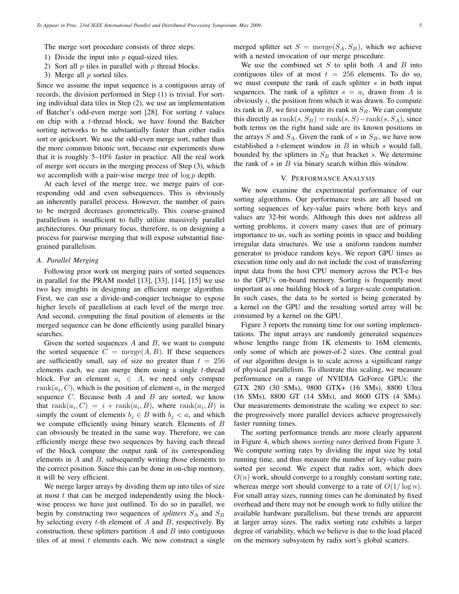The merge sort procedure consists of three steps:

- 1) Divide the input into  $p$  equal-sized tiles.
- 2) Sort all  $p$  tiles in parallel with  $p$  thread blocks.
- 3) Merge all  $p$  sorted tiles.

Since we assume the input sequence is a contiguous array of records, the division performed in Step (1) is trivial. For sorting individual data tiles in Step (2), we use an implementation of Batcher's odd-even merge sort [28]. For sorting t values on chip with a t-thread block, we have found the Batcher sorting networks to be substantially faster than either radix sort or quicksort. We use the odd-even merge sort, rather than the more common bitonic sort, because our experiments show that it is roughly 5–10% faster in practice. All the real work of merge sort occurs in the merging process of Step (3), which we accomplish with a pair-wise merge tree of  $\log p$  depth.

At each level of the merge tree, we merge pairs of corresponding odd and even subsequences. This is obviously an inherently parallel process. However, the number of pairs to be merged decreases geometrically. This coarse-grained parallelism is insufficient to fully utilize massively parallel architectures. Our primary focus, therefore, is on designing a process for pairwise merging that will expose substantial finegrained parallelism.

# *A. Parallel Merging*

Following prior work on merging pairs of sorted sequences in parallel for the PRAM model [13], [33], [14], [15] we use two key insights in designing an efficient merge algorithm. First, we can use a divide-and-conquer technique to expose higher levels of parallelism at each level of the merge tree. And second, computing the final position of elements in the merged sequence can be done efficiently using parallel binary searches.

Given the sorted sequences  $A$  and  $B$ , we want to compute the sorted sequence  $C = \text{merge}(A, B)$ . If these sequences are sufficiently small, say of size no greater than  $t = 256$ elements each, we can merge them using a single  $t$ -thread block. For an element  $a_i \in A$ , we need only compute rank $(a_i, C)$ , which is the position of element  $a_i$  in the merged sequence  $C$ . Because both  $A$  and  $B$  are sorted, we know that  $rank(a_i, C) = i + rank(a_i, B)$ , where  $rank(a_i, B)$  is simply the count of elements  $b_i \in B$  with  $b_i < a_i$  and which we compute efficiently using binary search. Elements of B can obviously be treated in the same way. Therefore, we can efficiently merge these two sequences by having each thread of the block compute the output rank of its corresponding elements in  $A$  and  $B$ , subsequently writing those elements to the correct position. Since this can be done in on-chip memory, it will be very efficient.

We merge larger arrays by dividing them up into tiles of size at most  $t$  that can be merged independently using the blockwise process we have just outlined. To do so in parallel, we begin by constructing two sequences of *splitters*  $S_A$  and  $S_B$ by selecting every  $t$ -th element of  $A$  and  $B$ , respectively. By construction, these splitters partition  $A$  and  $B$  into contiguous tiles of at most  $t$  elements each. We now construct a single merged splitter set  $S = \text{merge}(S_A, S_B)$ , which we achieve with a nested invocation of our merge procedure.

We use the combined set  $S$  to split both  $A$  and  $B$  into contiguous tiles of at most  $t = 256$  elements. To do so, we must compute the rank of each splitter  $s$  in both input sequences. The rank of a splitter  $s = a_i$  drawn from A is obviously  $i$ , the position from which it was drawn. To compute its rank in  $B$ , we first compute its rank in  $S_B$ . We can compute this directly as  $rank(s, S_B) = rank(s, S) - rank(s, S_A)$ , since both terms on the right hand side are its known positions in the arrays S and  $S_A$ . Given the rank of s in  $S_B$ , we have now established a *t*-element window in  $B$  in which  $s$  would fall, bounded by the splitters in  $S_B$  that bracket s. We determine the rank of  $s$  in  $B$  via binary search within this window.

## V. PERFORMANCE ANALYSIS

We now examine the experimental performance of our sorting algorithms. Our performance tests are all based on sorting sequences of key-value pairs where both keys and values are 32-bit words. Although this does not address all sorting problems, it covers many cases that are of primary importance to us, such as sorting points in space and building irregular data structures. We use a uniform random number generator to produce random keys. We report GPU times as execution time only and do not include the cost of transferring input data from the host CPU memory across the PCI-e bus to the GPU's on-board memory. Sorting is frequently most important as one building block of a larger-scale computation. In such cases, the data to be sorted is being generated by a kernel on the GPU and the resulting sorted array will be consumed by a kernel on the GPU.

Figure 3 reports the running time for our sorting implementations. The input arrays are randomly generated sequences whose lengths range from 1K elements to 16M elements, only some of which are power-of-2 sizes. One central goal of our algorithm design is to scale across a significant range of physical parallelism. To illustrate this scaling, we measure performance on a range of NVIDIA GeForce GPUs: the GTX 280 (30 SMs), 9800 GTX+ (16 SMs), 8800 Ultra (16 SMs), 8800 GT (14 SMs), and 8600 GTS (4 SMs). Our measurements demonstrate the scaling we expect to see: the progressively more parallel devices achieve progressively faster running times.

The sorting performance trends are more clearly apparent in Figure 4, which shows *sorting rates* derived from Figure 3. We compute sorting rates by dividing the input size by total running time, and thus measure the number of key-value pairs sorted per second. We expect that radix sort, which does  $O(n)$  work, should converge to a roughly constant sorting rate, whereas merge sort should converge to a rate of  $O(1/\log n)$ . For small array sizes, running times can be dominated by fixed overhead and there may not be enough work to fully utilize the available hardware parallelism, but these trends are apparent at larger array sizes. The radix sorting rate exhibits a larger degree of variability, which we believe is due to the load placed on the memory subsystem by radix sort's global scatters.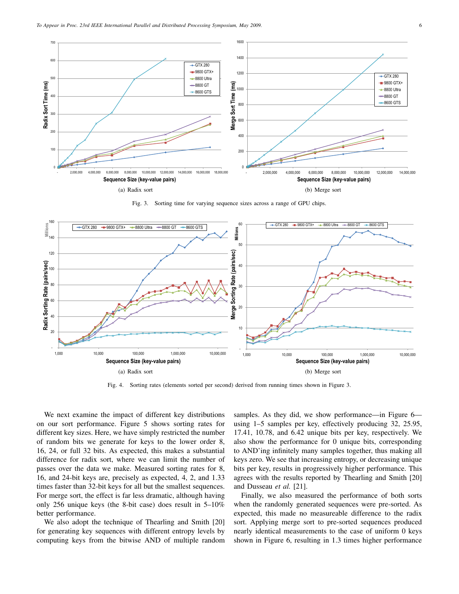

Fig. 3. Sorting time for varying sequence sizes across a range of GPU chips.



Fig. 4. Sorting rates (elements sorted per second) derived from running times shown in Figure 3.

We next examine the impact of different key distributions on our sort performance. Figure 5 shows sorting rates for different key sizes. Here, we have simply restricted the number of random bits we generate for keys to the lower order 8, 16, 24, or full 32 bits. As expected, this makes a substantial difference for radix sort, where we can limit the number of passes over the data we make. Measured sorting rates for 8, 16, and 24-bit keys are, precisely as expected, 4, 2, and 1.33 times faster than 32-bit keys for all but the smallest sequences. For merge sort, the effect is far less dramatic, although having only 256 unique keys (the 8-bit case) does result in 5–10% better performance.

We also adopt the technique of Thearling and Smith [20] for generating key sequences with different entropy levels by computing keys from the bitwise AND of multiple random samples. As they did, we show performance—in Figure 6 using 1–5 samples per key, effectively producing 32, 25.95, 17.41, 10.78, and 6.42 unique bits per key, respectively. We also show the performance for 0 unique bits, corresponding to AND'ing infinitely many samples together, thus making all keys zero. We see that increasing entropy, or decreasing unique bits per key, results in progressively higher performance. This agrees with the results reported by Thearling and Smith [20] and Dusseau *et al.* [21].

Finally, we also measured the performance of both sorts when the randomly generated sequences were pre-sorted. As expected, this made no measureable difference to the radix sort. Applying merge sort to pre-sorted sequences produced nearly identical measurements to the case of uniform 0 keys shown in Figure 6, resulting in 1.3 times higher performance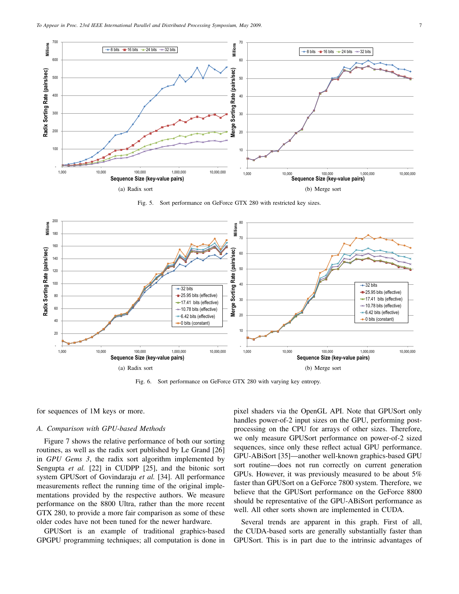

Fig. 5. Sort performance on GeForce GTX 280 with restricted key sizes.



Fig. 6. Sort performance on GeForce GTX 280 with varying key entropy.

for sequences of 1M keys or more.

## *A. Comparison with GPU-based Methods*

Figure 7 shows the relative performance of both our sorting routines, as well as the radix sort published by Le Grand [26] in *GPU Gems 3*, the radix sort algorithm implemented by Sengupta *et al.* [22] in CUDPP [25], and the bitonic sort system GPUSort of Govindaraju *et al.* [34]. All performance measurements reflect the running time of the original implementations provided by the respective authors. We measure performance on the 8800 Ultra, rather than the more recent GTX 280, to provide a more fair comparison as some of these older codes have not been tuned for the newer hardware.

GPUSort is an example of traditional graphics-based GPGPU programming techniques; all computation is done in

pixel shaders via the OpenGL API. Note that GPUSort only handles power-of-2 input sizes on the GPU, performing postprocessing on the CPU for arrays of other sizes. Therefore, we only measure GPUSort performance on power-of-2 sized sequences, since only these reflect actual GPU performance. GPU-ABiSort [35]—another well-known graphics-based GPU sort routine—does not run correctly on current generation GPUs. However, it was previously measured to be about 5% faster than GPUSort on a GeForce 7800 system. Therefore, we believe that the GPUSort performance on the GeForce 8800 should be representative of the GPU-ABiSort performance as well. All other sorts shown are implemented in CUDA.

Several trends are apparent in this graph. First of all, the CUDA-based sorts are generally substantially faster than GPUSort. This is in part due to the intrinsic advantages of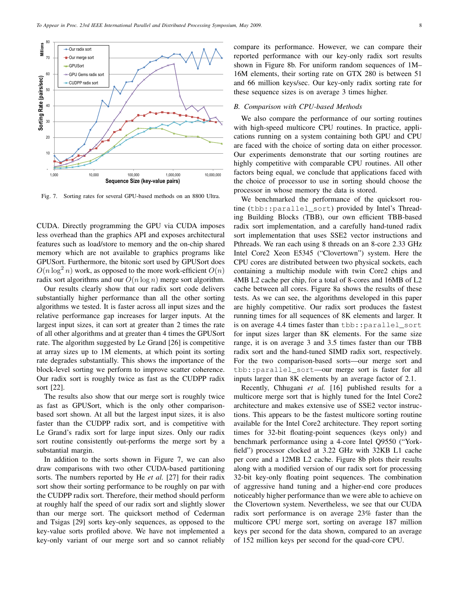

Fig. 7. Sorting rates for several GPU-based methods on an 8800 Ultra.

CUDA. Directly programming the GPU via CUDA imposes less overhead than the graphics API and exposes architectural features such as load/store to memory and the on-chip shared memory which are not available to graphics programs like GPUSort. Furthermore, the bitonic sort used by GPUSort does  $O(n \log^2 n)$  work, as opposed to the more work-efficient  $O(n)$ radix sort algorithms and our  $O(n \log n)$  merge sort algorithm.

Our results clearly show that our radix sort code delivers substantially higher performance than all the other sorting algorithms we tested. It is faster across all input sizes and the relative performance gap increases for larger inputs. At the largest input sizes, it can sort at greater than 2 times the rate of all other algorithms and at greater than 4 times the GPUSort rate. The algorithm suggested by Le Grand [26] is competitive at array sizes up to 1M elements, at which point its sorting rate degrades substantially. This shows the importance of the block-level sorting we perform to improve scatter coherence. Our radix sort is roughly twice as fast as the CUDPP radix sort [22].

The results also show that our merge sort is roughly twice as fast as GPUSort, which is the only other comparisonbased sort shown. At all but the largest input sizes, it is also faster than the CUDPP radix sort, and is competitive with Le Grand's radix sort for large input sizes. Only our radix sort routine consistently out-performs the merge sort by a substantial margin.

In addition to the sorts shown in Figure 7, we can also draw comparisons with two other CUDA-based partitioning sorts. The numbers reported by He *et al.* [27] for their radix sort show their sorting performance to be roughly on par with the CUDPP radix sort. Therefore, their method should perform at roughly half the speed of our radix sort and slightly slower than our merge sort. The quicksort method of Cederman and Tsigas [29] sorts key-only sequences, as opposed to the key-value sorts profiled above. We have not implemented a key-only variant of our merge sort and so cannot reliably

compare its performance. However, we can compare their reported performance with our key-only radix sort results shown in Figure 8b. For uniform random sequences of 1M– 16M elements, their sorting rate on GTX 280 is between 51 and 66 million keys/sec. Our key-only radix sorting rate for these sequence sizes is on average 3 times higher.

## *B. Comparison with CPU-based Methods*

We also compare the performance of our sorting routines with high-speed multicore CPU routines. In practice, applications running on a system containing both GPU and CPU are faced with the choice of sorting data on either processor. Our experiments demonstrate that our sorting routines are highly competitive with comparable CPU routines. All other factors being equal, we conclude that applications faced with the choice of processor to use in sorting should choose the processor in whose memory the data is stored.

We benchmarked the performance of the quicksort routine (tbb::parallel\_sort) provided by Intel's Threading Building Blocks (TBB), our own efficient TBB-based radix sort implementation, and a carefully hand-tuned radix sort implementation that uses SSE2 vector instructions and Pthreads. We ran each using 8 threads on an 8-core 2.33 GHz Intel Core2 Xeon E5345 ("Clovertown") system. Here the CPU cores are distributed between two physical sockets, each containing a multichip module with twin Core2 chips and 4MB L2 cache per chip, for a total of 8-cores and 16MB of L2 cache between all cores. Figure 8a shows the results of these tests. As we can see, the algorithms developed in this paper are highly competitive. Our radix sort produces the fastest running times for all sequences of 8K elements and larger. It is on average 4.4 times faster than tbb::parallel\_sort for input sizes larger than 8K elements. For the same size range, it is on average 3 and 3.5 times faster than our TBB radix sort and the hand-tuned SIMD radix sort, respectively. For the two comparison-based sorts—our merge sort and tbb::parallel\_sort—our merge sort is faster for all inputs larger than 8K elements by an average factor of 2.1.

Recently, Chhugani *et al.* [16] published results for a multicore merge sort that is highly tuned for the Intel Core2 architecture and makes extensive use of SSE2 vector instructions. This appears to be the fastest multicore sorting routine available for the Intel Core2 architecture. They report sorting times for 32-bit floating-point sequences (keys only) and benchmark performance using a 4-core Intel Q9550 ("Yorkfield") processor clocked at 3.22 GHz with 32KB L1 cache per core and a 12MB L2 cache. Figure 8b plots their results along with a modified version of our radix sort for processing 32-bit key-only floating point sequences. The combination of aggressive hand tuning and a higher-end core produces noticeably higher performance than we were able to achieve on the Clovertown system. Nevertheless, we see that our CUDA radix sort performance is on average 23% faster than the multicore CPU merge sort, sorting on average 187 million keys per second for the data shown, compared to an average of 152 million keys per second for the quad-core CPU.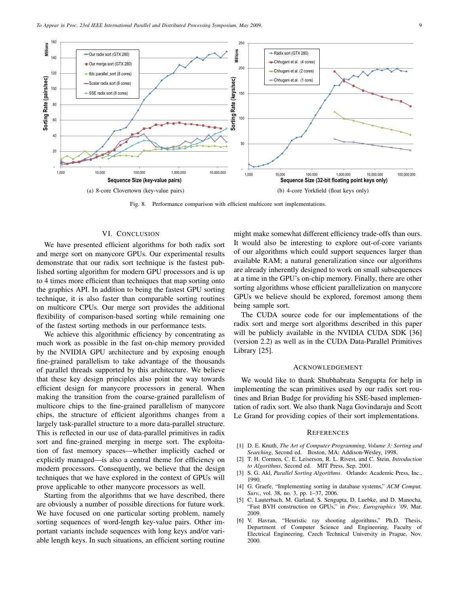

Fig. 8. Performance comparison with efficient multicore sort implementations.

## VI. CONCLUSION

We have presented efficient algorithms for both radix sort and merge sort on manycore GPUs. Our experimental results demonstrate that our radix sort technique is the fastest published sorting algorithm for modern GPU processors and is up to 4 times more efficient than techniques that map sorting onto the graphics API. In addition to being the fastest GPU sorting technique, it is also faster than comparable sorting routines on multicore CPUs. Our merge sort provides the additional flexibility of comparison-based sorting while remaining one of the fastest sorting methods in our performance tests.

We achieve this algorithmic efficiency by concentrating as much work as possible in the fast on-chip memory provided by the NVIDIA GPU architecture and by exposing enough fine-grained parallelism to take advantage of the thousands of parallel threads supported by this architecture. We believe that these key design principles also point the way towards efficient design for manycore processors in general. When making the transition from the coarse-grained parallelism of multicore chips to the fine-grained parallelism of manycore chips, the structure of efficient algorithms changes from a largely task-parallel structure to a more data-parallel structure. This is reflected in our use of data-parallel primitives in radix sort and fine-grained merging in merge sort. The exploitation of fast memory spaces—whether implicitly cached or explicitly managed—is also a central theme for efficiency on modern processors. Consequently, we believe that the design techniques that we have explored in the context of GPUs will prove applicable to other manycore processors as well.

Starting from the algorithms that we have described, there are obviously a number of possible directions for future work. We have focused on one particular sorting problem, namely sorting sequences of word-length key-value pairs. Other important variants include sequences with long keys and/or variable length keys. In such situations, an efficient sorting routine

might make somewhat different efficiency trade-offs than ours. It would also be interesting to explore out-of-core variants of our algorithms which could support sequences larger than available RAM; a natural generalization since our algorithms are already inherently designed to work on small subsequences at a time in the GPU's on-chip memory. Finally, there are other sorting algorithms whose efficient parallelization on manycore GPUs we believe should be explored, foremost among them being sample sort.

The CUDA source code for our implementations of the radix sort and merge sort algorithms described in this paper will be publicly available in the NVIDIA CUDA SDK [36] (version 2.2) as well as in the CUDA Data-Parallel Primitives Library [25].

## ACKNOWLEDGEMENT

We would like to thank Shubhabrata Sengupta for help in implementing the scan primitives used by our radix sort routines and Brian Budge for providing his SSE-based implementation of radix sort. We also thank Naga Govindaraju and Scott Le Grand for providing copies of their sort implementations.

## **REFERENCES**

- [1] D. E. Knuth, *The Art of Computer Programming, Volume 3: Sorting and Searching*, Second ed. Boston, MA: Addison-Wesley, 1998.
- [2] T. H. Cormen, C. E. Leiserson, R. L. Rivest, and C. Stein, *Introduction to Algorithms*, Second ed. MIT Press, Sep. 2001.
- [3] S. G. Akl, *Parallel Sorting Algorithms*. Orlando: Academic Press, Inc., 1990.
- [4] G. Graefe, "Implementing sorting in database systems," *ACM Comput. Surv.*, vol. 38, no. 3, pp. 1–37, 2006.
- [5] C. Lauterbach, M. Garland, S. Sengupta, D. Luebke, and D. Manocha, "Fast BVH construction on GPUs," in *Proc. Eurographics '09*, Mar. 2009.
- [6] V. Havran, "Heuristic ray shooting algorithms," Ph.D. Thesis, Department of Computer Science and Engineering, Faculty of Electrical Engineering, Czech Technical University in Prague, Nov. 2000.